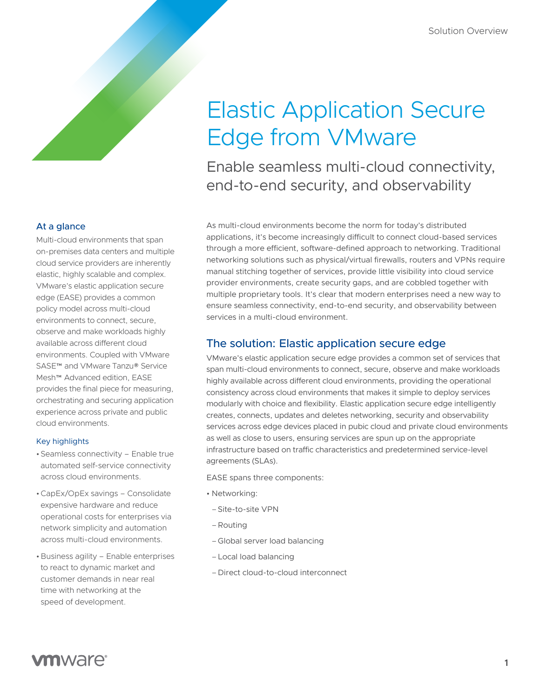# Elastic Application Secure Edge from VMware

Enable seamless multi-cloud connectivity, end-to-end security, and observability

As multi-cloud environments become the norm for today's distributed applications, it's become increasingly difficult to connect cloud-based services through a more efficient, software-defined approach to networking. Traditional networking solutions such as physical/virtual firewalls, routers and VPNs require manual stitching together of services, provide little visibility into cloud service provider environments, create security gaps, and are cobbled together with multiple proprietary tools. It's clear that modern enterprises need a new way to ensure seamless connectivity, end-to-end security, and observability between services in a multi-cloud environment.

## The solution: Elastic application secure edge

VMware's elastic application secure edge provides a common set of services that span multi-cloud environments to connect, secure, observe and make workloads highly available across different cloud environments, providing the operational consistency across cloud environments that makes it simple to deploy services modularly with choice and flexibility. Elastic application secure edge intelligently creates, connects, updates and deletes networking, security and observability services across edge devices placed in pubic cloud and private cloud environments as well as close to users, ensuring services are spun up on the appropriate infrastructure based on traffic characteristics and predetermined service-level agreements (SLAs).

EASE spans three components:

- Networking:
	- –Site-to-site VPN
	- –Routing
	- –Global server load balancing
- –Local load balancing
- –Direct cloud-to-cloud interconnect

## At a glance

Multi-cloud environments that span on-premises data centers and multiple cloud service providers are inherently elastic, highly scalable and complex. VMware's elastic application secure edge (EASE) provides a common policy model across multi-cloud environments to connect, secure, observe and make workloads highly available across different cloud environments. Coupled with VMware SASE™ and VMware Tanzu® Service Mesh™ Advanced edition, EASE provides the final piece for measuring, orchestrating and securing application experience across private and public cloud environments.

#### Key highlights

- •Seamless connectivity Enable true automated self-service connectivity across cloud environments.
- •CapEx/OpEx savings Consolidate expensive hardware and reduce operational costs for enterprises via network simplicity and automation across multi-cloud environments.
- •Business agility Enable enterprises to react to dynamic market and customer demands in near real time with networking at the speed of development.

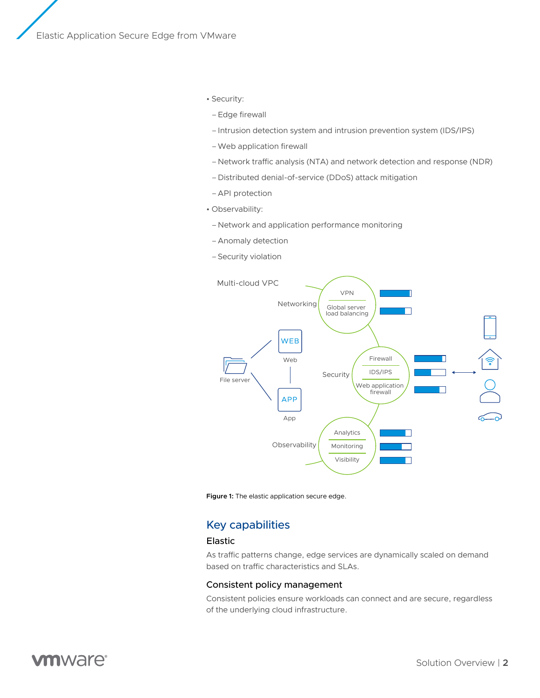- Security:
- –Edge firewall
- –Intrusion detection system and intrusion prevention system (IDS/IPS)
- –Web application firewall
- Network traffic analysis (NTA) and network detection and response (NDR)
- –Distributed denial-of-service (DDoS) attack mitigation
- –API protection
- Observability:
- Network and application performance monitoring
- –Anomaly detection
- –Security violation





### Key capabilities

#### Elastic

As traffic patterns change, edge services are dynamically scaled on demand based on traffic characteristics and SLAs.

#### Consistent policy management

Consistent policies ensure workloads can connect and are secure, regardless of the underlying cloud infrastructure.

## **m**ware<sup>®</sup>